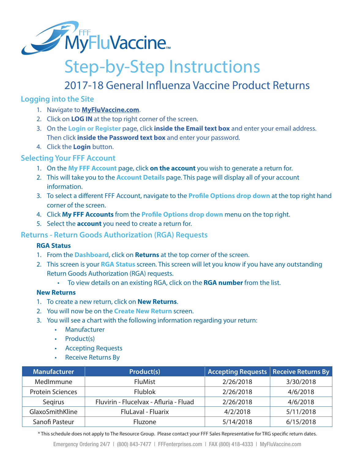

## Step-by-Step Instructions

## 2017-18 General Influenza Vaccine Product Returns

#### **Logging into the Site**

- 1. Navigate to **MyFluVaccine.com**.
- 2. Click on **LOG IN** at the top right corner of the screen.
- 3. On the **Login or Register** page, click **inside the Email text box** and enter your email address. Then click **inside the Password text box** and enter your password.
- 4. Click the **Login** button.

#### **Selecting Your FFF Account**

- 1. On the **My FFF Account** page, click **on the account** you wish to generate a return for.
- 2. This will take you to the **Account Details** page. This page will display all of your account information.
- 3. To select a different FFF Account, navigate to the **Profile Options drop down** at the top right hand corner of the screen.
- 4. Click **My FFF Accounts** from the **Profile Options drop down** menu on the top right.
- 5. Select the **account** you need to create a return for.

#### **Returns - Return Goods Authorization (RGA) Requests**

#### **RGA Status**

- 1. From the **Dashboard**, click on **Returns** at the top corner of the screen.
- 2. This screen is your **RGA Status** screen. This screen will let you know if you have any outstanding Return Goods Authorization (RGA) requests.
	- To view details on an existing RGA, click on the **RGA number** from the list.

#### **New Returns**

- 1. To create a new return, click on **New Returns**.
- 2. You will now be on the **Create New Return** screen.
- 3. You will see a chart with the following information regarding your return:
	- Manufacturer
	- Product(s)
	- Accepting Requests
	- Receive Returns By

| <b>Manufacturer</b>     | Product(s)                             | Accepting Requests   Receive Returns By |           |
|-------------------------|----------------------------------------|-----------------------------------------|-----------|
| MedImmune               | <b>FluMist</b>                         | 2/26/2018                               | 3/30/2018 |
| <b>Protein Sciences</b> | <b>Flublok</b>                         | 2/26/2018                               | 4/6/2018  |
| Segirus                 | Fluvirin - Flucelvax - Afluria - Fluad | 2/26/2018                               | 4/6/2018  |
| GlaxoSmithKline         | FluLaval - Fluarix                     | 4/2/2018                                | 5/11/2018 |
| Sanofi Pasteur          | Fluzone                                | 5/14/2018                               | 6/15/2018 |

\* This schedule does not apply to The Resource Group. Please contact your FFF Sales Representative for TRG specific return dates.